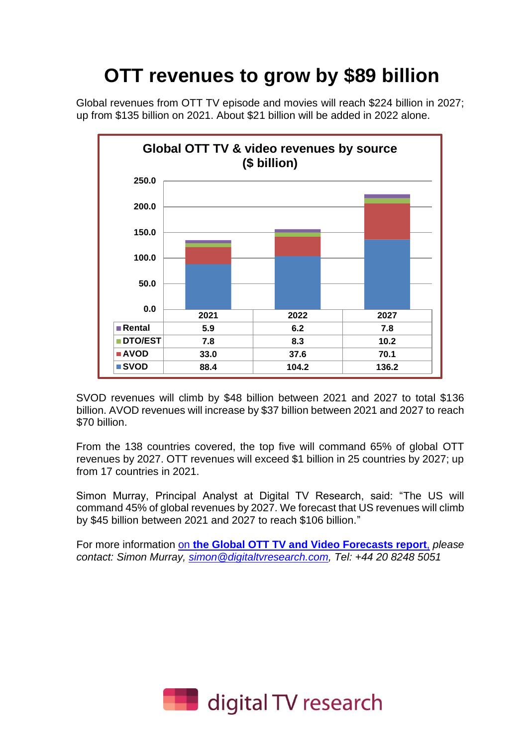# **OTT revenues to grow by \$89 billion**

Global revenues from OTT TV episode and movies will reach \$224 billion in 2027; up from \$135 billion on 2021. About \$21 billion will be added in 2022 alone.



SVOD revenues will climb by \$48 billion between 2021 and 2027 to total \$136 billion. AVOD revenues will increase by \$37 billion between 2021 and 2027 to reach \$70 billion.

From the 138 countries covered, the top five will command 65% of global OTT revenues by 2027. OTT revenues will exceed \$1 billion in 25 countries by 2027; up from 17 countries in 2021.

Simon Murray, Principal Analyst at Digital TV Research, said: "The US will command 45% of global revenues by 2027. We forecast that US revenues will climb by \$45 billion between 2021 and 2027 to reach \$106 billion."

For more information on **[the Global OTT TV and Video](https://digitaltvresearch.com/product/global-ott-tv-and-video-forecasts/) Forecasts report**, *please contact: Simon Murray, [simon@digitaltvresearch.com,](mailto:simon@digitaltvresearch.com) Tel: +44 20 8248 5051* 

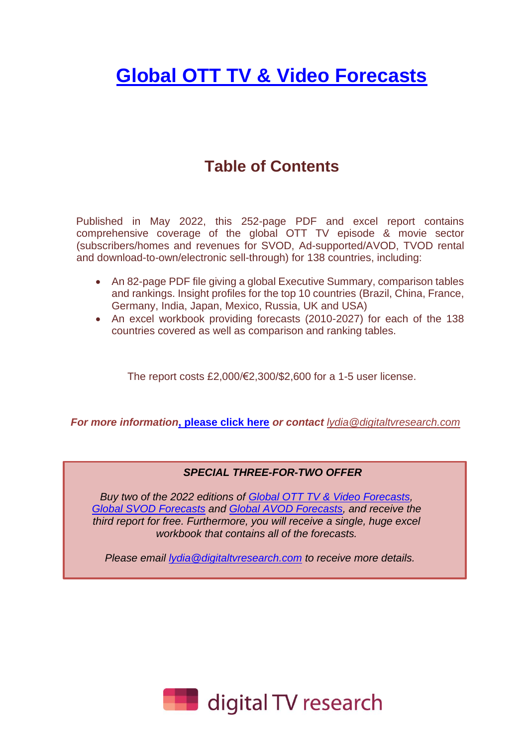## **Global [OTT TV & Video Forecasts](https://digitaltvresearch.com/product/global-ott-tv-and-video-forecasts/)**

### **Table of Contents**

Published in May 2022, this 252-page PDF and excel report contains comprehensive coverage of the global OTT TV episode & movie sector (subscribers/homes and revenues for SVOD, Ad-supported/AVOD, TVOD rental and download-to-own/electronic sell-through) for 138 countries, including:

- An 82-page PDF file giving a global Executive Summary, comparison tables and rankings. Insight profiles for the top 10 countries (Brazil, China, France, Germany, India, Japan, Mexico, Russia, UK and USA)
- An excel workbook providing forecasts (2010-2027) for each of the 138 countries covered as well as comparison and ranking tables.

The report costs £2,000/€2,300/\$2,600 for a 1-5 user license.

*For more information***[, please click here](https://digitaltvresearch.com/product/global-ott-tv-and-video-forecasts/)** *or contact [lydia@digitaltvresearch.com](mailto:lydia@digitaltvresearch.com)*

#### *SPECIAL THREE-FOR-TWO OFFER*

*Buy two of the 2022 editions of [Global OTT TV & Video Forecasts,](https://digitaltvresearch.com/product/global-ott-tv-and-video-forecasts/) [Global SVOD Forecasts](https://digitaltvresearch.com/product/global-svod-forecasts/) and [Global AVOD Forecasts,](https://digitaltvresearch.com/product/global-avod-forecasts/) and receive the third report for free. Furthermore, you will receive a single, huge excel workbook that contains all of the forecasts.*

*Please email [lydia@digitaltvresearch.com](mailto:Lydia@digitaltvresearch.com) to receive more details.*

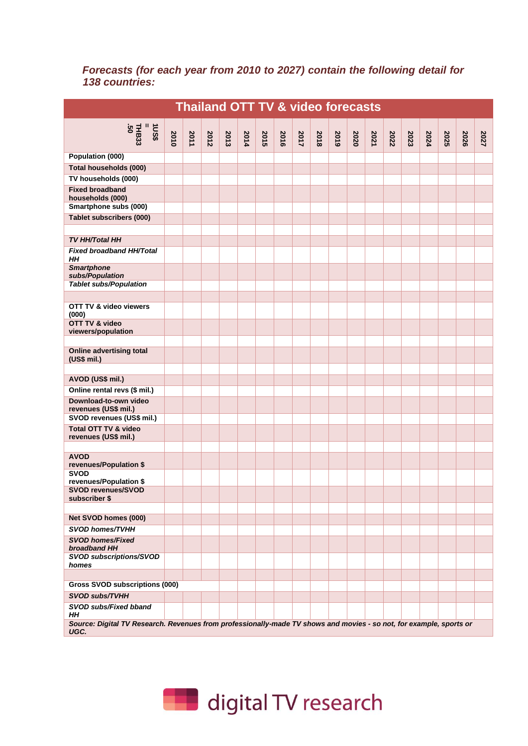#### *Forecasts (for each year from 2010 to 2027) contain the following detail for 138 countries:*

| <b>Thailand OTT TV &amp; video forecasts</b>                                                                                |      |      |      |      |      |      |      |      |      |      |      |      |      |      |      |      |      |      |
|-----------------------------------------------------------------------------------------------------------------------------|------|------|------|------|------|------|------|------|------|------|------|------|------|------|------|------|------|------|
| $10.8$<br>$\frac{1}{1}$ HB33<br>50<br>50                                                                                    | 2010 | 2011 | 2012 | 2013 | 2014 | 2015 | 2016 | 2017 | 2018 | 2019 | 2020 | 2021 | 2022 | 2023 | 2024 | 2025 | 2026 | 2027 |
| Population (000)                                                                                                            |      |      |      |      |      |      |      |      |      |      |      |      |      |      |      |      |      |      |
| Total households (000)                                                                                                      |      |      |      |      |      |      |      |      |      |      |      |      |      |      |      |      |      |      |
| TV households (000)                                                                                                         |      |      |      |      |      |      |      |      |      |      |      |      |      |      |      |      |      |      |
| <b>Fixed broadband</b><br>households (000)                                                                                  |      |      |      |      |      |      |      |      |      |      |      |      |      |      |      |      |      |      |
| Smartphone subs (000)                                                                                                       |      |      |      |      |      |      |      |      |      |      |      |      |      |      |      |      |      |      |
| <b>Tablet subscribers (000)</b>                                                                                             |      |      |      |      |      |      |      |      |      |      |      |      |      |      |      |      |      |      |
| <b>TV HH/Total HH</b>                                                                                                       |      |      |      |      |      |      |      |      |      |      |      |      |      |      |      |      |      |      |
| <b>Fixed broadband HH/Total</b><br>HН                                                                                       |      |      |      |      |      |      |      |      |      |      |      |      |      |      |      |      |      |      |
| <b>Smartphone</b><br>subs/Population                                                                                        |      |      |      |      |      |      |      |      |      |      |      |      |      |      |      |      |      |      |
| <b>Tablet subs/Population</b>                                                                                               |      |      |      |      |      |      |      |      |      |      |      |      |      |      |      |      |      |      |
|                                                                                                                             |      |      |      |      |      |      |      |      |      |      |      |      |      |      |      |      |      |      |
| OTT TV & video viewers<br>(000)                                                                                             |      |      |      |      |      |      |      |      |      |      |      |      |      |      |      |      |      |      |
| OTT TV & video<br>viewers/population                                                                                        |      |      |      |      |      |      |      |      |      |      |      |      |      |      |      |      |      |      |
|                                                                                                                             |      |      |      |      |      |      |      |      |      |      |      |      |      |      |      |      |      |      |
| <b>Online advertising total</b><br>(US\$ mil.)                                                                              |      |      |      |      |      |      |      |      |      |      |      |      |      |      |      |      |      |      |
| AVOD (US\$ mil.)                                                                                                            |      |      |      |      |      |      |      |      |      |      |      |      |      |      |      |      |      |      |
| Online rental revs (\$ mil.)                                                                                                |      |      |      |      |      |      |      |      |      |      |      |      |      |      |      |      |      |      |
| Download-to-own video                                                                                                       |      |      |      |      |      |      |      |      |      |      |      |      |      |      |      |      |      |      |
| revenues (US\$ mil.)                                                                                                        |      |      |      |      |      |      |      |      |      |      |      |      |      |      |      |      |      |      |
| SVOD revenues (US\$ mil.)                                                                                                   |      |      |      |      |      |      |      |      |      |      |      |      |      |      |      |      |      |      |
| Total OTT TV & video<br>revenues (US\$ mil.)                                                                                |      |      |      |      |      |      |      |      |      |      |      |      |      |      |      |      |      |      |
| <b>AVOD</b>                                                                                                                 |      |      |      |      |      |      |      |      |      |      |      |      |      |      |      |      |      |      |
| revenues/Population \$                                                                                                      |      |      |      |      |      |      |      |      |      |      |      |      |      |      |      |      |      |      |
| <b>SVOD</b><br>revenues/Population \$                                                                                       |      |      |      |      |      |      |      |      |      |      |      |      |      |      |      |      |      |      |
| <b>SVOD revenues/SVOD</b><br>subscriber \$                                                                                  |      |      |      |      |      |      |      |      |      |      |      |      |      |      |      |      |      |      |
|                                                                                                                             |      |      |      |      |      |      |      |      |      |      |      |      |      |      |      |      |      |      |
| Net SVOD homes (000)                                                                                                        |      |      |      |      |      |      |      |      |      |      |      |      |      |      |      |      |      |      |
| <b>SVOD homes/TVHH</b>                                                                                                      |      |      |      |      |      |      |      |      |      |      |      |      |      |      |      |      |      |      |
| <b>SVOD homes/Fixed</b><br>broadband HH                                                                                     |      |      |      |      |      |      |      |      |      |      |      |      |      |      |      |      |      |      |
| <b>SVOD subscriptions/SVOD</b><br>homes                                                                                     |      |      |      |      |      |      |      |      |      |      |      |      |      |      |      |      |      |      |
|                                                                                                                             |      |      |      |      |      |      |      |      |      |      |      |      |      |      |      |      |      |      |
| <b>Gross SVOD subscriptions (000)</b>                                                                                       |      |      |      |      |      |      |      |      |      |      |      |      |      |      |      |      |      |      |
| SVOD subs/TVHH                                                                                                              |      |      |      |      |      |      |      |      |      |      |      |      |      |      |      |      |      |      |
| SVOD subs/Fixed bband<br>HΗ                                                                                                 |      |      |      |      |      |      |      |      |      |      |      |      |      |      |      |      |      |      |
| Source: Digital TV Research. Revenues from professionally-made TV shows and movies - so not, for example, sports or<br>UGC. |      |      |      |      |      |      |      |      |      |      |      |      |      |      |      |      |      |      |

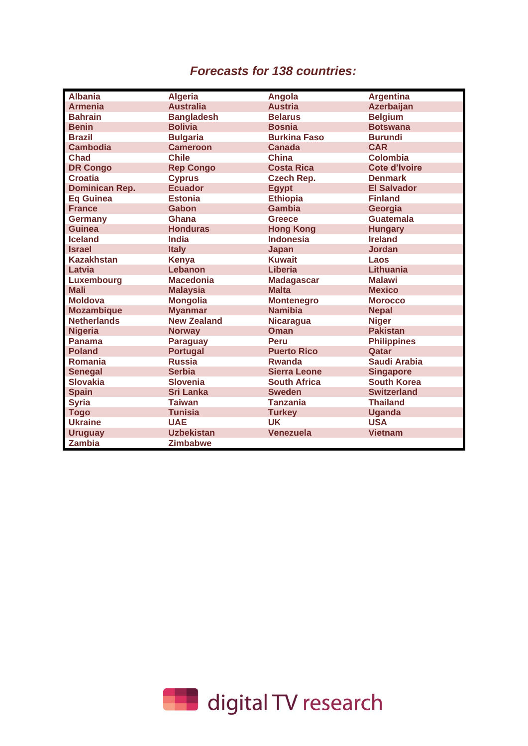### *Forecasts for 138 countries:*

| <b>Albania</b>        | <b>Algeria</b>     | Angola              | <b>Argentina</b>     |
|-----------------------|--------------------|---------------------|----------------------|
| <b>Armenia</b>        | <b>Australia</b>   | <b>Austria</b>      | <b>Azerbaijan</b>    |
| <b>Bahrain</b>        | <b>Bangladesh</b>  | <b>Belarus</b>      | <b>Belgium</b>       |
| <b>Benin</b>          | <b>Bolivia</b>     | <b>Bosnia</b>       | <b>Botswana</b>      |
| <b>Brazil</b>         | <b>Bulgaria</b>    | <b>Burkina Faso</b> | <b>Burundi</b>       |
| <b>Cambodia</b>       | <b>Cameroon</b>    | <b>Canada</b>       | <b>CAR</b>           |
| <b>Chad</b>           | <b>Chile</b>       | <b>China</b>        | <b>Colombia</b>      |
| <b>DR Congo</b>       | <b>Rep Congo</b>   | <b>Costa Rica</b>   | <b>Cote d'Ivoire</b> |
| <b>Croatia</b>        | <b>Cyprus</b>      | <b>Czech Rep.</b>   | <b>Denmark</b>       |
| <b>Dominican Rep.</b> | <b>Ecuador</b>     | <b>Egypt</b>        | <b>El Salvador</b>   |
| <b>Eq Guinea</b>      | <b>Estonia</b>     | <b>Ethiopia</b>     | <b>Finland</b>       |
| <b>France</b>         | Gabon              | <b>Gambia</b>       | Georgia              |
| <b>Germany</b>        | Ghana              | <b>Greece</b>       | <b>Guatemala</b>     |
| Guinea                | <b>Honduras</b>    | <b>Hong Kong</b>    | <b>Hungary</b>       |
| <b>Iceland</b>        | <b>India</b>       | <b>Indonesia</b>    | <b>Ireland</b>       |
| <b>Israel</b>         | <b>Italy</b>       | <b>Japan</b>        | <b>Jordan</b>        |
| <b>Kazakhstan</b>     | <b>Kenya</b>       | <b>Kuwait</b>       | Laos                 |
| Latvia                | Lebanon            | <b>Liberia</b>      | Lithuania            |
| Luxembourg            | <b>Macedonia</b>   | <b>Madagascar</b>   | <b>Malawi</b>        |
| <b>Mali</b>           | <b>Malaysia</b>    | <b>Malta</b>        | <b>Mexico</b>        |
| <b>Moldova</b>        | <b>Mongolia</b>    | <b>Montenegro</b>   | <b>Morocco</b>       |
| <b>Mozambique</b>     | <b>Myanmar</b>     | <b>Namibia</b>      | <b>Nepal</b>         |
| <b>Netherlands</b>    | <b>New Zealand</b> | <b>Nicaragua</b>    | <b>Niger</b>         |
| <b>Nigeria</b>        | <b>Norway</b>      | <b>Oman</b>         | <b>Pakistan</b>      |
| Panama                | <b>Paraguay</b>    | Peru                | <b>Philippines</b>   |
| <b>Poland</b>         | <b>Portugal</b>    | <b>Puerto Rico</b>  | Qatar                |
| Romania               | <b>Russia</b>      | <b>Rwanda</b>       | <b>Saudi Arabia</b>  |
| <b>Senegal</b>        | <b>Serbia</b>      | <b>Sierra Leone</b> | <b>Singapore</b>     |
| <b>Slovakia</b>       | <b>Slovenia</b>    | <b>South Africa</b> | <b>South Korea</b>   |
| <b>Spain</b>          | <b>Sri Lanka</b>   | <b>Sweden</b>       | <b>Switzerland</b>   |
| <b>Syria</b>          | <b>Taiwan</b>      | <b>Tanzania</b>     | <b>Thailand</b>      |
| <b>Togo</b>           | <b>Tunisia</b>     | <b>Turkey</b>       | <b>Uganda</b>        |
| <b>Ukraine</b>        | <b>UAE</b>         | <b>UK</b>           | <b>USA</b>           |
| <b>Uruguay</b>        | <b>Uzbekistan</b>  | <b>Venezuela</b>    | <b>Vietnam</b>       |
| <b>Zambia</b>         | <b>Zimbabwe</b>    |                     |                      |